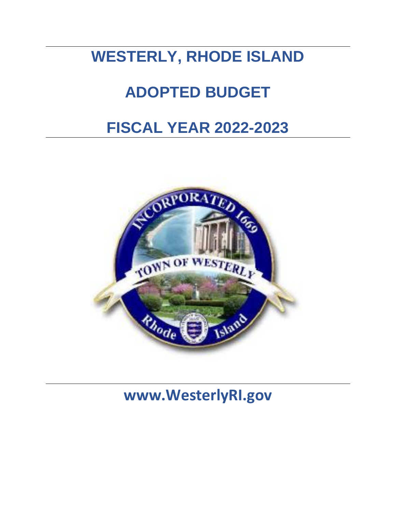# **WESTERLY, RHODE ISLAND**

# **ADOPTED BUDGET**

# **FISCAL YEAR 2022-2023**



**www.WesterlyRI.gov**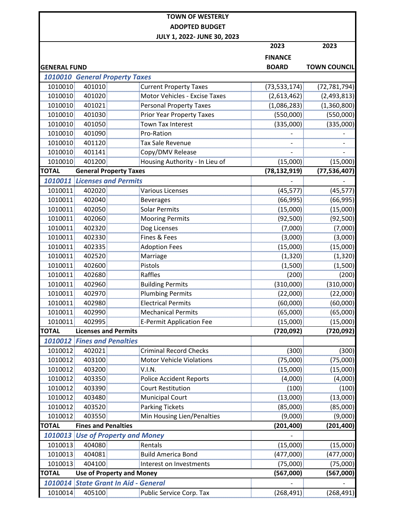|                                          |                                  | <b>TOWN OF WESTERLY</b>          |                |                     |
|------------------------------------------|----------------------------------|----------------------------------|----------------|---------------------|
|                                          |                                  | <b>ADOPTED BUDGET</b>            |                |                     |
|                                          |                                  | JULY 1, 2022- JUNE 30, 2023      |                |                     |
|                                          |                                  |                                  | 2023           | 2023                |
|                                          |                                  |                                  | <b>FINANCE</b> |                     |
| <b>GENERAL FUND</b>                      |                                  |                                  | <b>BOARD</b>   | <b>TOWN COUNCIL</b> |
| <b>1010010 General Property Taxes</b>    |                                  |                                  |                |                     |
| 1010010                                  | 401010                           | <b>Current Property Taxes</b>    | (73, 533, 174) | (72, 781, 794)      |
| 1010010                                  | 401020                           | Motor Vehicles - Excise Taxes    | (2,613,462)    | (2,493,813)         |
| 1010010                                  | 401021                           | <b>Personal Property Taxes</b>   | (1,086,283)    | (1,360,800)         |
| 1010010                                  | 401030                           | <b>Prior Year Property Taxes</b> | (550,000)      | (550,000)           |
| 1010010                                  | 401050                           | <b>Town Tax Interest</b>         | (335,000)      | (335,000)           |
| 1010010                                  | 401090                           | Pro-Ration                       |                |                     |
| 1010010                                  | 401120                           | <b>Tax Sale Revenue</b>          |                |                     |
| 1010010                                  | 401141                           | Copy/DMV Release                 |                |                     |
| 1010010                                  | 401200                           | Housing Authority - In Lieu of   | (15,000)       | (15,000)            |
| <b>TOTAL</b>                             | <b>General Property Taxes</b>    |                                  | (78, 132, 919) | (77, 536, 407)      |
| <b>1010011 Licenses and Permits</b>      |                                  |                                  |                |                     |
| 1010011                                  | 402020                           | <b>Various Licenses</b>          | (45, 577)      | (45, 577)           |
| 1010011                                  | 402040                           | <b>Beverages</b>                 | (66, 995)      | (66, 995)           |
| 1010011                                  | 402050                           | <b>Solar Permits</b>             | (15,000)       | (15,000)            |
| 1010011                                  | 402060                           | <b>Mooring Permits</b>           | (92,500)       | (92, 500)           |
| 1010011                                  | 402320                           | Dog Licenses                     | (7,000)        | (7,000)             |
| 1010011                                  | 402330                           | Fines & Fees                     | (3,000)        | (3,000)             |
| 1010011                                  | 402335                           | <b>Adoption Fees</b>             | (15,000)       | (15,000)            |
| 1010011                                  | 402520                           | Marriage                         | (1, 320)       | (1, 320)            |
| 1010011                                  | 402600                           | Pistols                          | (1,500)        | (1,500)             |
| 1010011                                  | 402680                           | Raffles                          | (200)          | (200)               |
| 1010011                                  | 402960                           | <b>Building Permits</b>          | (310,000)      | (310,000)           |
| 1010011                                  | 402970                           | <b>Plumbing Permits</b>          | (22,000)       | (22,000)            |
| 1010011                                  | 402980                           | <b>Electrical Permits</b>        | (60,000)       | (60,000)            |
| 1010011                                  | 402990                           | <b>Mechanical Permits</b>        | (65,000)       | (65,000)            |
| 1010011                                  | 402995                           | <b>E-Permit Application Fee</b>  | (15,000)       | (15,000)            |
| <b>TOTAL</b>                             | <b>Licenses and Permits</b>      |                                  | (720, 092)     | (720,092)           |
| <b>1010012 Fines and Penalties</b>       |                                  |                                  |                |                     |
| 1010012                                  | 402021                           | <b>Criminal Record Checks</b>    | (300)          | (300)               |
| 1010012                                  | 403100                           | Motor Vehicle Violations         | (75,000)       | (75,000)            |
| 1010012                                  | 403200                           | V.I.N.                           | (15,000)       | (15,000)            |
| 1010012                                  | 403350                           | <b>Police Accident Reports</b>   | (4,000)        | (4,000)             |
| 1010012                                  | 403390                           | <b>Court Restitution</b>         | (100)          | (100)               |
| 1010012                                  | 403480                           | <b>Municipal Court</b>           | (13,000)       | (13,000)            |
| 1010012                                  | 403520                           | <b>Parking Tickets</b>           | (85,000)       | (85,000)            |
| 1010012                                  | 403550                           | Min Housing Lien/Penalties       | (9,000)        | (9,000)             |
| <b>TOTAL</b>                             | <b>Fines and Penalties</b>       |                                  | (201, 400)     | (201, 400)          |
| <b>1010013 Use of Property and Money</b> |                                  |                                  |                |                     |
| 1010013                                  | 404080                           | Rentals                          | (15,000)       | (15,000)            |
| 1010013                                  | 404081                           | <b>Build America Bond</b>        | (477,000)      | (477,000)           |
| 1010013                                  | 404100                           | Interest on Investments          | (75,000)       | (75,000)            |
| <b>TOTAL</b>                             | <b>Use of Property and Money</b> |                                  | (567,000)      | (567,000)           |
| 1010014 State Grant In Aid - General     |                                  |                                  |                |                     |
| 1010014                                  | 405100                           | Public Service Corp. Tax         | (268, 491)     | (268, 491)          |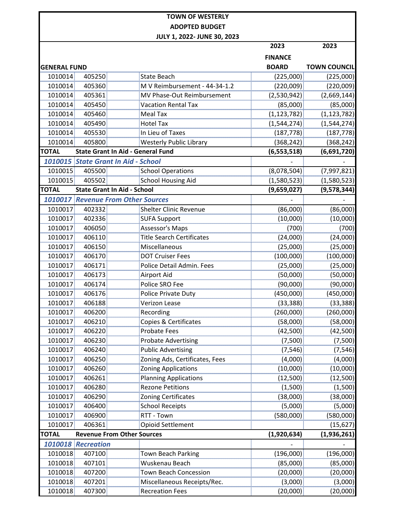|              |                                     |                                           | 2023           | 2023                |
|--------------|-------------------------------------|-------------------------------------------|----------------|---------------------|
|              |                                     |                                           | <b>FINANCE</b> |                     |
| GENERAL FUND |                                     |                                           | <b>BOARD</b>   | <b>TOWN COUNCIL</b> |
| 1010014      | 405250                              | <b>State Beach</b>                        | (225,000)      | (225,000)           |
| 1010014      | 405360                              | M V Reimbursement - 44-34-1.2             | (220,009)      | (220,009)           |
| 1010014      | 405361                              | MV Phase-Out Reimbursement                | (2,530,942)    | (2,669,144)         |
| 1010014      | 405450                              | <b>Vacation Rental Tax</b>                | (85,000)       | (85,000)            |
| 1010014      | 405460                              | <b>Meal Tax</b>                           | (1, 123, 782)  | (1, 123, 782)       |
| 1010014      | 405490                              | <b>Hotel Tax</b>                          | (1,544,274)    | (1, 544, 274)       |
| 1010014      | 405530                              | In Lieu of Taxes                          | (187, 778)     | (187, 778)          |
| 1010014      | 405800                              | <b>Westerly Public Library</b>            | (368, 242)     | (368, 242)          |
| <b>TOTAL</b> |                                     | <b>State Grant In Aid - General Fund</b>  | (6, 553, 518)  | (6,691,720)         |
|              | 1010015 State Grant In Aid - School |                                           |                |                     |
| 1010015      | 405500                              | <b>School Operations</b>                  | (8,078,504)    | (7,997,821)         |
| 1010015      | 405502                              | <b>School Housing Aid</b>                 | (1,580,523)    | (1,580,523)         |
| <b>TOTAL</b> | <b>State Grant In Aid - School</b>  |                                           | (9,659,027)    | (9,578,344)         |
|              |                                     | <b>1010017 Revenue From Other Sources</b> |                |                     |
| 1010017      | 402332                              | <b>Shelter Clinic Revenue</b>             | (86,000)       | (86,000)            |
| 1010017      | 402336                              | <b>SUFA Support</b>                       | (10,000)       | (10,000)            |
| 1010017      | 406050                              | Assessor's Maps                           | (700)          | (700)               |
| 1010017      | 406110                              | <b>Title Search Certificates</b>          | (24,000)       | (24,000)            |
| 1010017      | 406150                              | Miscellaneous                             | (25,000)       | (25,000)            |
| 1010017      | 406170                              | <b>DOT Cruiser Fees</b>                   | (100,000)      | (100,000)           |
| 1010017      | 406171                              | Police Detail Admin. Fees                 | (25,000)       | (25,000)            |
| 1010017      | 406173                              | <b>Airport Aid</b>                        | (50,000)       | (50,000)            |
| 1010017      | 406174                              | Police SRO Fee                            | (90,000)       | (90,000)            |
| 1010017      | 406176                              | Police Private Duty                       | (450,000)      | (450,000)           |
| 1010017      | 406188                              | <b>Verizon Lease</b>                      | (33, 388)      | (33, 388)           |
| 1010017      | 406200                              | Recording                                 | (260,000)      | (260,000)           |
| 1010017      | 406210                              | Copies & Certificates                     | (58,000)       | (58,000)            |
| 1010017      | 406220                              | <b>Probate Fees</b>                       | (42,500)       | (42, 500)           |
| 1010017      | 406230                              | <b>Probate Advertising</b>                | (7,500)        | (7,500)             |
| 1010017      | 406240                              | <b>Public Advertising</b>                 | (7, 546)       | (7, 546)            |
| 1010017      | 406250                              | Zoning Ads, Certificates, Fees            | (4,000)        | (4,000)             |
| 1010017      | 406260                              | Zoning Applications                       | (10,000)       | (10,000)            |
| 1010017      | 406261                              | <b>Planning Applications</b>              | (12,500)       | (12, 500)           |
| 1010017      | 406280                              | <b>Rezone Petitions</b>                   | (1,500)        | (1,500)             |
| 1010017      | 406290                              | <b>Zoning Certificates</b>                | (38,000)       | (38,000)            |
| 1010017      | 406400                              | <b>School Receipts</b>                    | (5,000)        | (5,000)             |
| 1010017      | 406900                              | RTT - Town                                | (580,000)      | (580,000)           |
| 1010017      | 406361                              | <b>Opioid Settlement</b>                  |                | (15, 627)           |
| <b>TOTAL</b> | <b>Revenue From Other Sources</b>   |                                           | (1,920,634)    | (1,936,261)         |
|              | 1010018 Recreation                  |                                           |                |                     |
| 1010018      | 407100                              | Town Beach Parking                        | (196,000)      | (196,000)           |
| 1010018      | 407101                              | Wuskenau Beach                            | (85,000)       | (85,000)            |
| 1010018      | 407200                              | <b>Town Beach Concession</b>              | (20,000)       | (20,000)            |
| 1010018      | 407201                              | Miscellaneous Receipts/Rec.               | (3,000)        | (3,000)             |
| 1010018      | 407300                              | <b>Recreation Fees</b>                    | (20,000)       | (20,000)            |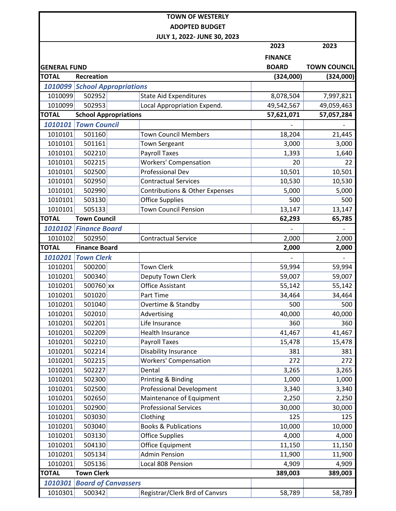|                     |                                      | JULY 1, 2022- JUNE 30, 2023     |                |                     |
|---------------------|--------------------------------------|---------------------------------|----------------|---------------------|
|                     |                                      |                                 | 2023           | 2023                |
|                     |                                      |                                 | <b>FINANCE</b> |                     |
| <b>GENERAL FUND</b> |                                      |                                 | <b>BOARD</b>   | <b>TOWN COUNCIL</b> |
| <b>TOTAL</b>        | Recreation                           |                                 | (324,000)      | (324,000)           |
|                     | <b>1010099 School Appropriations</b> |                                 |                |                     |
| 1010099             | 502952                               | <b>State Aid Expenditures</b>   | 8,078,504      | 7,997,821           |
| 1010099             | 502953                               | Local Appropriation Expend.     | 49,542,567     | 49,059,463          |
| <b>TOTAL</b>        | <b>School Appropriations</b>         |                                 | 57,621,071     | 57,057,284          |
|                     | 1010101 Town Council                 |                                 |                |                     |
| 1010101             | 501160                               | <b>Town Council Members</b>     | 18,204         | 21,445              |
| 1010101             | 501161                               | <b>Town Sergeant</b>            | 3,000          | 3,000               |
| 1010101             | 502210                               | <b>Payroll Taxes</b>            | 1,393          | 1,640               |
| 1010101             | 502215                               | <b>Workers' Compensation</b>    | 20             | 22                  |
| 1010101             | 502500                               | <b>Professional Dev</b>         | 10,501         | 10,501              |
| 1010101             | 502950                               | <b>Contractual Services</b>     | 10,530         | 10,530              |
| 1010101             | 502990                               | Contributions & Other Expenses  | 5,000          | 5,000               |
| 1010101             | 503130                               | <b>Office Supplies</b>          | 500            | 500                 |
| 1010101             | 505133                               | <b>Town Council Pension</b>     | 13,147         | 13,147              |
| <b>TOTAL</b>        | <b>Town Council</b>                  |                                 | 62,293         | 65,785              |
|                     | 1010102 Finance Board                |                                 |                |                     |
| 1010102             | 502950                               | <b>Contractual Service</b>      | 2,000          | 2,000               |
| <b>TOTAL</b>        | <b>Finance Board</b>                 |                                 | 2,000          | 2,000               |
|                     | <b>1010201 Town Clerk</b>            |                                 |                |                     |
| 1010201             | 500200                               | <b>Town Clerk</b>               | 59,994         | 59,994              |
| 1010201             | 500340                               | Deputy Town Clerk               | 59,007         | 59,007              |
| 1010201             | 500760 xx                            | Office Assistant                | 55,142         | 55,142              |
| 1010201             | 501020                               | Part Time                       | 34,464         | 34,464              |
| 1010201             | 501040                               | Overtime & Standby              | 500            | 500                 |
| 1010201             | 502010                               | Advertising                     | 40,000         | 40,000              |
| 1010201             | 502201                               | Life Insurance                  | 360            | 360                 |
| 1010201             | 502209                               | Health Insurance                | 41,467         | 41,467              |
| 1010201             | 502210                               | <b>Payroll Taxes</b>            | 15,478         | 15,478              |
| 1010201             | 502214                               | Disability Insurance            | 381            | 381                 |
| 1010201             | 502215                               | <b>Workers' Compensation</b>    | 272            | 272                 |
| 1010201             | 502227                               | Dental                          | 3,265          | 3,265               |
| 1010201             | 502300                               | Printing & Binding              | 1,000          | 1,000               |
| 1010201             | 502500                               | <b>Professional Development</b> | 3,340          | 3,340               |
| 1010201             | 502650                               | Maintenance of Equipment        | 2,250          | 2,250               |
| 1010201             | 502900                               | <b>Professional Services</b>    | 30,000         | 30,000              |
| 1010201             | 503030                               | Clothing                        | 125            | 125                 |
| 1010201             | 503040                               | <b>Books &amp; Publications</b> | 10,000         | 10,000              |
| 1010201             | 503130                               | <b>Office Supplies</b>          | 4,000          | 4,000               |
| 1010201             | 504130                               | Office Equipment                | 11,150         | 11,150              |
| 1010201             | 505134                               | <b>Admin Pension</b>            | 11,900         | 11,900              |
| 1010201             | 505136                               | Local 808 Pension               | 4,909          | 4,909               |
| <b>TOTAL</b>        | <b>Town Clerk</b>                    |                                 | 389,003        | 389,003             |
|                     | <b>1010301 Board of Canvassers</b>   |                                 |                |                     |
| 1010301             | 500342                               | Registrar/Clerk Brd of Canvsrs  | 58,789         | 58,789              |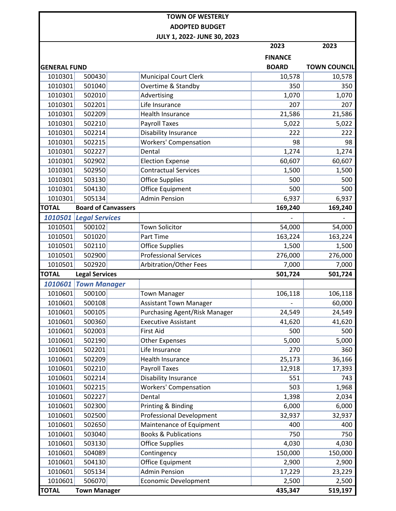|                     |                            |                                      | 2023           | 2023                |
|---------------------|----------------------------|--------------------------------------|----------------|---------------------|
|                     |                            |                                      | <b>FINANCE</b> |                     |
| <b>GENERAL FUND</b> |                            |                                      | <b>BOARD</b>   | <b>TOWN COUNCIL</b> |
| 1010301             | 500430                     | <b>Municipal Court Clerk</b>         | 10,578         | 10,578              |
| 1010301             | 501040                     | Overtime & Standby                   | 350            | 350                 |
| 1010301             | 502010                     | Advertising                          | 1,070          | 1,070               |
| 1010301             | 502201                     | Life Insurance                       | 207            | 207                 |
| 1010301             | 502209                     | <b>Health Insurance</b>              | 21,586         | 21,586              |
| 1010301             | 502210                     | <b>Payroll Taxes</b>                 | 5,022          | 5,022               |
| 1010301             | 502214                     | Disability Insurance                 | 222            | 222                 |
| 1010301             | 502215                     | <b>Workers' Compensation</b>         | 98             | 98                  |
| 1010301             | 502227                     | Dental                               | 1,274          | 1,274               |
| 1010301             | 502902                     | <b>Election Expense</b>              | 60,607         | 60,607              |
| 1010301             | 502950                     | <b>Contractual Services</b>          | 1,500          | 1,500               |
| 1010301             | 503130                     | <b>Office Supplies</b>               | 500            | 500                 |
| 1010301             | 504130                     | Office Equipment                     | 500            | 500                 |
| 1010301             | 505134                     | <b>Admin Pension</b>                 | 6,937          | 6,937               |
| <b>TOTAL</b>        | <b>Board of Canvassers</b> |                                      | 169,240        | 169,240             |
|                     | 1010501 Legal Services     |                                      |                |                     |
| 1010501             | 500102                     | <b>Town Solicitor</b>                | 54,000         | 54,000              |
| 1010501             | 501020                     | Part Time                            | 163,224        | 163,224             |
| 1010501             | 502110                     | <b>Office Supplies</b>               | 1,500          | 1,500               |
| 1010501             | 502900                     | <b>Professional Services</b>         | 276,000        | 276,000             |
| 1010501             | 502920                     | Arbitration/Other Fees               | 7,000          | 7,000               |
| <b>TOTAL</b>        | <b>Legal Services</b>      |                                      | 501,724        | 501,724             |
| 1010601             | <b>Town Manager</b>        |                                      |                |                     |
| 1010601             | 500100                     | <b>Town Manager</b>                  | 106,118        | 106,118             |
| 1010601             | 500108                     | <b>Assistant Town Manager</b>        |                | 60,000              |
| 1010601             | 500105                     | <b>Purchasing Agent/Risk Manager</b> | 24,549         | 24,549              |
| 1010601             | 500360                     | <b>Executive Assistant</b>           | 41,620         | 41,620              |
| 1010601             | 502003                     | First Aid                            | 500            | 500                 |
| 1010601             | 502190                     | <b>Other Expenses</b>                | 5,000          | 5,000               |
| 1010601             | 502201                     | Life Insurance                       | 270            | 360                 |
| 1010601             | 502209                     | <b>Health Insurance</b>              | 25,173         | 36,166              |
| 1010601             | 502210                     | <b>Payroll Taxes</b>                 | 12,918         | 17,393              |
| 1010601             | 502214                     | Disability Insurance                 | 551            | 743                 |
| 1010601             | 502215                     | <b>Workers' Compensation</b>         | 503            | 1,968               |
| 1010601             | 502227                     | Dental                               | 1,398          | 2,034               |
| 1010601             | 502300                     | Printing & Binding                   | 6,000          | 6,000               |
| 1010601             | 502500                     | <b>Professional Development</b>      | 32,937         | 32,937              |
| 1010601             | 502650                     | Maintenance of Equipment             | 400            | 400                 |
| 1010601             | 503040                     | <b>Books &amp; Publications</b>      | 750            | 750                 |
| 1010601             | 503130                     | <b>Office Supplies</b>               | 4,030          | 4,030               |
| 1010601             | 504089                     | Contingency                          | 150,000        | 150,000             |
| 1010601             | 504130                     | Office Equipment                     | 2,900          | 2,900               |
| 1010601             | 505134                     | <b>Admin Pension</b>                 | 17,229         | 23,229              |
| 1010601             | 506070                     | <b>Economic Development</b>          | 2,500          | 2,500               |
| <b>TOTAL</b>        | <b>Town Manager</b>        |                                      | 435,347        | 519,197             |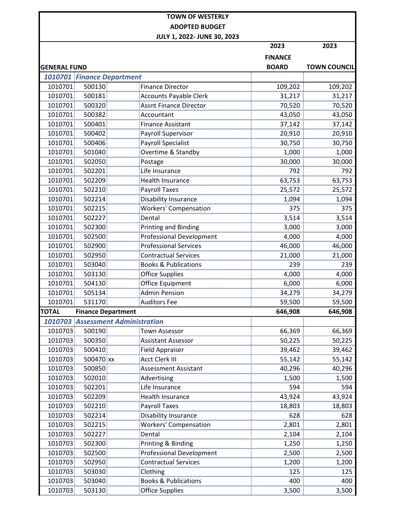|                     |                                   |                                 | 2023           | 2023                |
|---------------------|-----------------------------------|---------------------------------|----------------|---------------------|
|                     |                                   |                                 | <b>FINANCE</b> |                     |
| <b>GENERAL FUND</b> |                                   |                                 | <b>BOARD</b>   | <b>TOWN COUNCIL</b> |
|                     | 1010701 Finance Department        |                                 |                |                     |
| 1010701             | 500130                            | <b>Finance Director</b>         | 109,202        | 109,202             |
| 1010701             | 500181                            | <b>Accounts Payable Clerk</b>   | 31,217         | 31,217              |
| 1010701             | 500320                            | <b>Assnt Finance Director</b>   | 70,520         | 70,520              |
| 1010701             | 500382                            | Accountant                      | 43,050         | 43,050              |
| 1010701             | 500401                            | <b>Finance Assistant</b>        | 37,142         | 37,142              |
| 1010701             | 500402                            | Payroll Supervisor              | 20,910         | 20,910              |
| 1010701             | 500406                            | <b>Payroll Specialist</b>       | 30,750         | 30,750              |
| 1010701             | 501040                            | Overtime & Standby              | 1,000          | 1,000               |
| 1010701             | 502050                            | Postage                         | 30,000         | 30,000              |
| 1010701             | 502201                            | Life Insurance                  | 792            | 792                 |
| 1010701             | 502209                            | <b>Health Insurance</b>         | 63,753         | 63,753              |
| 1010701             | 502210                            | <b>Payroll Taxes</b>            | 25,572         | 25,572              |
| 1010701             | 502214                            | <b>Disability Insurance</b>     | 1,094          | 1,094               |
| 1010701             | 502215                            | <b>Workers' Compensation</b>    | 375            | 375                 |
| 1010701             | 502227                            | Dental                          | 3,514          | 3,514               |
| 1010701             | 502300                            | <b>Printing and Binding</b>     | 3,000          | 3,000               |
| 1010701             | 502500                            | <b>Professional Development</b> | 4,000          | 4,000               |
| 1010701             | 502900                            | <b>Professional Services</b>    | 46,000         | 46,000              |
| 1010701             | 502950                            | <b>Contractual Services</b>     | 21,000         | 21,000              |
| 1010701             | 503040                            | <b>Books &amp; Publications</b> | 239            | 239                 |
| 1010701             | 503130                            | <b>Office Supplies</b>          | 4,000          | 4,000               |
| 1010701             | 504130                            | Office Equipment                | 6,000          | 6,000               |
| 1010701             | 505134                            | <b>Admin Pension</b>            | 34,279         | 34,279              |
| 1010701             | 531170                            | <b>Auditors Fee</b>             | 59,500         | 59,500              |
| <b>TOTAL</b>        | <b>Finance Department</b>         |                                 | 646,908        | 646,908             |
|                     | 1010703 Assessment Administration |                                 |                |                     |
| 1010703             | 500190                            | <b>Town Assessor</b>            | 66,369         | 66,369              |
| 1010703             | 500350                            | <b>Assistant Assessor</b>       | 50,225         | 50,225              |
| 1010703             | 500410                            | <b>Field Appraiser</b>          | 39,462         | 39,462              |
| 1010703             | 500470 xx                         | <b>Acct Clerk III</b>           | 55,142         | 55,142              |
| 1010703             | 500850                            | <b>Assessment Assistant</b>     | 40,296         | 40,296              |
| 1010703             | 502010                            | Advertising                     | 1,500          | 1,500               |
| 1010703             | 502201                            | Life Insurance                  | 594            | 594                 |
| 1010703             | 502209                            | <b>Health Insurance</b>         | 43,924         | 43,924              |
| 1010703             | 502210                            | <b>Payroll Taxes</b>            | 18,803         | 18,803              |
| 1010703             | 502214                            | <b>Disability Insurance</b>     | 628            | 628                 |
| 1010703             | 502215                            | <b>Workers' Compensation</b>    | 2,801          | 2,801               |
| 1010703             | 502227                            | Dental                          | 2,104          | 2,104               |
| 1010703             | 502300                            | Printing & Binding              | 1,250          | 1,250               |
| 1010703             | 502500                            | <b>Professional Development</b> | 2,500          | 2,500               |
| 1010703             | 502950                            | <b>Contractual Services</b>     | 1,200          | 1,200               |
| 1010703             | 503030                            | Clothing                        | 125            | 125                 |
| 1010703             | 503040                            | <b>Books &amp; Publications</b> | 400            | 400                 |
|                     |                                   | <b>Office Supplies</b>          |                |                     |
| 1010703             | 503130                            |                                 | 3,500          | 3,500               |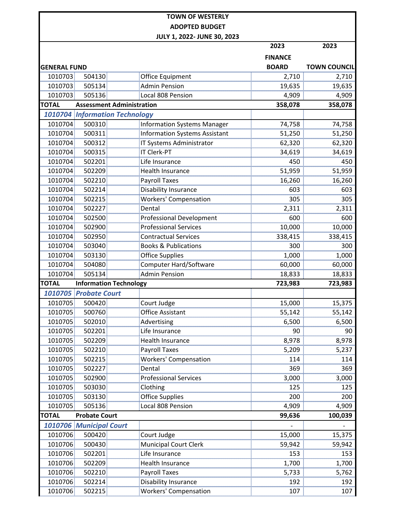|                     |                                  | JULY 1, 2022- JUNE 30, 2023          | 2023           | 2023                |
|---------------------|----------------------------------|--------------------------------------|----------------|---------------------|
|                     |                                  |                                      |                |                     |
|                     |                                  |                                      | <b>FINANCE</b> |                     |
| <b>GENERAL FUND</b> |                                  |                                      | <b>BOARD</b>   | <b>TOWN COUNCIL</b> |
| 1010703             | 504130                           | <b>Office Equipment</b>              | 2,710          | 2,710               |
| 1010703             | 505134                           | <b>Admin Pension</b>                 | 19,635         | 19,635              |
| 1010703             | 505136                           | Local 808 Pension                    | 4,909          | 4,909               |
| <b>TOTAL</b>        | <b>Assessment Administration</b> |                                      | 358,078        | 358,078             |
|                     | 1010704 Information Technology   |                                      |                |                     |
| 1010704             | 500310                           | <b>Information Systems Manager</b>   | 74,758         | 74,758              |
| 1010704             | 500311                           | <b>Information Systems Assistant</b> | 51,250         | 51,250              |
| 1010704             | 500312                           | IT Systems Administrator             | 62,320         | 62,320              |
| 1010704             | 500315                           | <b>IT Clerk-PT</b>                   | 34,619         | 34,619              |
| 1010704             | 502201                           | Life Insurance                       | 450            | 450                 |
| 1010704             | 502209                           | <b>Health Insurance</b>              | 51,959         | 51,959              |
| 1010704             | 502210                           | <b>Payroll Taxes</b>                 | 16,260         | 16,260              |
| 1010704             | 502214                           | Disability Insurance                 | 603            | 603                 |
| 1010704             | 502215                           | <b>Workers' Compensation</b>         | 305            | 305                 |
| 1010704             | 502227                           | Dental                               | 2,311          | 2,311               |
| 1010704             | 502500                           | <b>Professional Development</b>      | 600            | 600                 |
| 1010704             | 502900                           | <b>Professional Services</b>         | 10,000         | 10,000              |
| 1010704             | 502950                           | <b>Contractual Services</b>          | 338,415        | 338,415             |
| 1010704             | 503040                           | <b>Books &amp; Publications</b>      | 300            | 300                 |
| 1010704             | 503130                           | <b>Office Supplies</b>               | 1,000          | 1,000               |
| 1010704             | 504080                           | Computer Hard/Software               | 60,000         | 60,000              |
| 1010704             | 505134                           | <b>Admin Pension</b>                 | 18,833         | 18,833              |
| <b>TOTAL</b>        | <b>Information Technology</b>    |                                      | 723,983        | 723,983             |
|                     | 1010705 Probate Court            |                                      |                |                     |
| 1010705             | 500420                           | Court Judge                          | 15,000         | 15,375              |
| 1010705             | 500760                           | <b>Office Assistant</b>              | 55,142         | 55,142              |
| 1010705             | 502010                           | Advertising                          | 6,500          | 6,500               |
| 1010705             | 502201                           | Life Insurance                       | 90             | 90                  |
| 1010705             | 502209                           | <b>Health Insurance</b>              | 8,978          | 8,978               |
| 1010705             | 502210                           | <b>Payroll Taxes</b>                 | 5,209          | 5,237               |
| 1010705             | 502215                           | Workers' Compensation                | 114            | 114                 |
| 1010705             | 502227                           | Dental                               | 369            | 369                 |
| 1010705             | 502900                           | <b>Professional Services</b>         | 3,000          | 3,000               |
| 1010705             | 503030                           | Clothing                             | 125            | 125                 |
| 1010705             | 503130                           | <b>Office Supplies</b>               | 200            | 200                 |
| 1010705             | 505136                           | Local 808 Pension                    | 4,909          | 4,909               |
| <b>TOTAL</b>        | <b>Probate Court</b>             |                                      | 99,636         | 100,039             |
|                     | 1010706 Municipal Court          |                                      |                |                     |
| 1010706             | 500420                           | Court Judge                          | 15,000         | 15,375              |
| 1010706             | 500430                           | <b>Municipal Court Clerk</b>         | 59,942         | 59,942              |
| 1010706             | 502201                           | Life Insurance                       | 153            | 153                 |
|                     | 502209                           | <b>Health Insurance</b>              | 1,700          |                     |
| 1010706<br>1010706  | 502210                           | Payroll Taxes                        | 5,733          | 1,700<br>5,762      |
| 1010706             | 502214                           | <b>Disability Insurance</b>          | 192            | 192                 |
|                     |                                  |                                      |                |                     |
| 1010706             | 502215                           | <b>Workers' Compensation</b>         | 107            | 107                 |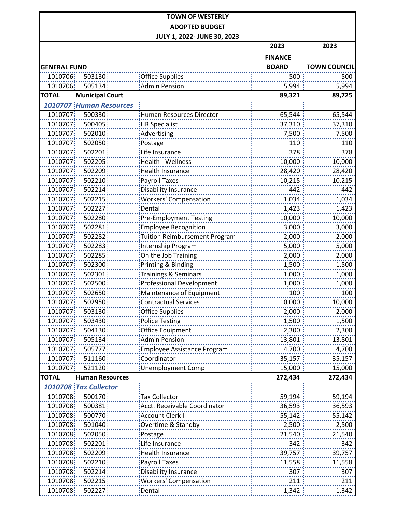|                     |                                |                                      | 2023           | 2023                |
|---------------------|--------------------------------|--------------------------------------|----------------|---------------------|
|                     |                                |                                      | <b>FINANCE</b> |                     |
| <b>GENERAL FUND</b> |                                |                                      | <b>BOARD</b>   | <b>TOWN COUNCIL</b> |
| 1010706             | 503130                         | <b>Office Supplies</b>               | 500            | 500                 |
| 1010706             | 505134                         | <b>Admin Pension</b>                 | 5,994          | 5,994               |
| <b>TOTAL</b>        | <b>Municipal Court</b>         |                                      | 89,321         | 89,725              |
|                     | <b>1010707 Human Resources</b> |                                      |                |                     |
| 1010707             | 500330                         | <b>Human Resources Director</b>      | 65,544         | 65,544              |
| 1010707             | 500405                         | <b>HR Specialist</b>                 | 37,310         | 37,310              |
| 1010707             | 502010                         | Advertising                          | 7,500          | 7,500               |
| 1010707             | 502050                         | Postage                              | 110            | 110                 |
| 1010707             | 502201                         | Life Insurance                       | 378            | 378                 |
| 1010707             | 502205                         | Health - Wellness                    | 10,000         | 10,000              |
| 1010707             | 502209                         | <b>Health Insurance</b>              | 28,420         | 28,420              |
| 1010707             | 502210                         | <b>Payroll Taxes</b>                 | 10,215         | 10,215              |
| 1010707             | 502214                         | Disability Insurance                 | 442            | 442                 |
| 1010707             | 502215                         | <b>Workers' Compensation</b>         | 1,034          | 1,034               |
| 1010707             | 502227                         | Dental                               | 1,423          | 1,423               |
| 1010707             | 502280                         | <b>Pre-Employment Testing</b>        | 10,000         | 10,000              |
| 1010707             | 502281                         | <b>Employee Recognition</b>          | 3,000          | 3,000               |
| 1010707             | 502282                         | <b>Tuition Reimbursement Program</b> | 2,000          | 2,000               |
| 1010707             | 502283                         | Internship Program                   | 5,000          | 5,000               |
| 1010707             | 502285                         | On the Job Training                  | 2,000          | 2,000               |
| 1010707             | 502300                         | Printing & Binding                   | 1,500          | 1,500               |
| 1010707             | 502301                         | <b>Trainings &amp; Seminars</b>      | 1,000          | 1,000               |
| 1010707             | 502500                         | <b>Professional Development</b>      | 1,000          | 1,000               |
| 1010707             | 502650                         | Maintenance of Equipment             | 100            | 100                 |
| 1010707             | 502950                         | <b>Contractual Services</b>          | 10,000         | 10,000              |
| 1010707             | 503130                         | <b>Office Supplies</b>               | 2,000          | 2,000               |
| 1010707             | 503430                         | <b>Police Testing</b>                | 1,500          | 1,500               |
| 1010707             | 504130                         | Office Equipment                     | 2,300          | 2,300               |
| 1010707             | 505134                         | <b>Admin Pension</b>                 | 13,801         | 13,801              |
| 1010707             | 505777                         | <b>Employee Assistance Program</b>   | 4,700          | 4,700               |
| 1010707             | 511160                         | Coordinator                          | 35,157         | 35,157              |
| 1010707             | 521120                         | <b>Unemployment Comp</b>             | 15,000         | 15,000              |
| <b>TOTAL</b>        | <b>Human Resources</b>         |                                      | 272,434        | 272,434             |
|                     | 1010708 Tax Collector          |                                      |                |                     |
| 1010708             | 500170                         | <b>Tax Collector</b>                 | 59,194         | 59,194              |
| 1010708             | 500381                         | Acct. Receivable Coordinator         | 36,593         | 36,593              |
| 1010708             | 500770                         | <b>Account Clerk II</b>              | 55,142         | 55,142              |
| 1010708             | 501040                         | Overtime & Standby                   | 2,500          | 2,500               |
| 1010708             | 502050                         | Postage                              | 21,540         | 21,540              |
| 1010708             | 502201                         | Life Insurance                       | 342            | 342                 |
| 1010708             | 502209                         | Health Insurance                     | 39,757         | 39,757              |
| 1010708             | 502210                         | <b>Payroll Taxes</b>                 | 11,558         | 11,558              |
| 1010708             | 502214                         | Disability Insurance                 | 307            | 307                 |
| 1010708             | 502215                         | <b>Workers' Compensation</b>         | 211            | 211                 |
| 1010708             | 502227                         | Dental                               | 1,342          | $\frac{1}{1,342}$   |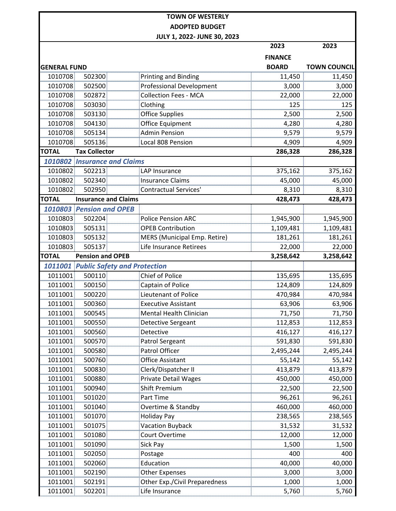|                     |                                             | <b>TOWN OF WESTERLY</b>         |                |                     |
|---------------------|---------------------------------------------|---------------------------------|----------------|---------------------|
|                     |                                             | <b>ADOPTED BUDGET</b>           |                |                     |
|                     |                                             | JULY 1, 2022- JUNE 30, 2023     |                |                     |
|                     |                                             |                                 | 2023           | 2023                |
|                     |                                             |                                 | <b>FINANCE</b> |                     |
| <b>GENERAL FUND</b> |                                             |                                 | <b>BOARD</b>   | <b>TOWN COUNCIL</b> |
| 1010708             | 502300                                      | <b>Printing and Binding</b>     | 11,450         | 11,450              |
| 1010708             | 502500                                      | <b>Professional Development</b> | 3,000          | 3,000               |
| 1010708             | 502872                                      | <b>Collection Fees - MCA</b>    | 22,000         | 22,000              |
| 1010708             | 503030                                      | Clothing                        | 125            | 125                 |
| 1010708             | 503130                                      | <b>Office Supplies</b>          | 2,500          | 2,500               |
| 1010708             | 504130                                      | Office Equipment                | 4,280          | 4,280               |
| 1010708             | 505134                                      | <b>Admin Pension</b>            | 9,579          | 9,579               |
| 1010708             | 505136                                      | Local 808 Pension               | 4,909          | 4,909               |
| <b>TOTAL</b>        | <b>Tax Collector</b>                        |                                 | 286,328        | 286,328             |
|                     | 1010802 Insurance and Claims                |                                 |                |                     |
| 1010802             | 502213                                      | LAP Insurance                   | 375,162        | 375,162             |
| 1010802             | 502340                                      | <b>Insurance Claims</b>         | 45,000         | 45,000              |
| 1010802             | 502950                                      | <b>Contractual Services'</b>    | 8,310          | 8,310               |
| <b>TOTAL</b>        | <b>Insurance and Claims</b>                 |                                 | 428,473        | 428,473             |
|                     | 1010803 Pension and OPEB                    |                                 |                |                     |
| 1010803             | 502204                                      | <b>Police Pension ARC</b>       | 1,945,900      | 1,945,900           |
| 1010803             | 505131                                      | <b>OPEB Contribution</b>        | 1,109,481      | 1,109,481           |
| 1010803             | 505132                                      | MERS (Municipal Emp. Retire)    | 181,261        | 181,261             |
| 1010803             | 505137                                      | Life Insurance Retirees         | 22,000         | 22,000              |
| <b>TOTAL</b>        | <b>Pension and OPEB</b>                     |                                 | 3,258,642      | 3,258,642           |
|                     | <b>1011001 Public Safety and Protection</b> |                                 |                |                     |
| 1011001             | 500110                                      | <b>Chief of Police</b>          | 135,695        | 135,695             |
| 1011001             | 500150                                      | Captain of Police               | 124,809        | 124,809             |
| 1011001             | 500220                                      | Lieutenant of Police            | 470,984        | 470,984             |
| 1011001             | 500360                                      | <b>Executive Assistant</b>      | 63,906         | 63,906              |
| 1011001             | 500545                                      | Mental Health Clinician         | 71,750         | 71,750              |
| 1011001             | 500550                                      | <b>Detective Sergeant</b>       | 112,853        | 112,853             |
| 1011001             | 500560                                      | Detective                       | 416,127        | 416,127             |
| 1011001             | 500570                                      | <b>Patrol Sergeant</b>          | 591,830        | 591,830             |

|         |        | <b>1011001 Public Safety and Protection</b> |           |           |
|---------|--------|---------------------------------------------|-----------|-----------|
| 1011001 | 500110 | <b>Chief of Police</b>                      | 135,695   | 135,695   |
| 1011001 | 500150 | Captain of Police                           | 124,809   | 124,809   |
| 1011001 | 500220 | Lieutenant of Police                        | 470,984   | 470,984   |
| 1011001 | 500360 | <b>Executive Assistant</b>                  | 63,906    | 63,906    |
| 1011001 | 500545 | Mental Health Clinician                     | 71,750    | 71,750    |
| 1011001 | 500550 | Detective Sergeant                          | 112,853   | 112,853   |
| 1011001 | 500560 | Detective                                   | 416,127   | 416,127   |
| 1011001 | 500570 | Patrol Sergeant                             | 591,830   | 591,830   |
| 1011001 | 500580 | Patrol Officer                              | 2,495,244 | 2,495,244 |
| 1011001 | 500760 | <b>Office Assistant</b>                     | 55,142    | 55,142    |
| 1011001 | 500830 | Clerk/Dispatcher II                         | 413,879   | 413,879   |
| 1011001 | 500880 | Private Detail Wages                        | 450,000   | 450,000   |
| 1011001 | 500940 | <b>Shift Premium</b>                        | 22,500    | 22,500    |
| 1011001 | 501020 | Part Time                                   | 96,261    | 96,261    |
| 1011001 | 501040 | Overtime & Standby                          | 460,000   | 460,000   |
| 1011001 | 501070 | <b>Holiday Pay</b>                          | 238,565   | 238,565   |
| 1011001 | 501075 | <b>Vacation Buyback</b>                     | 31,532    | 31,532    |
| 1011001 | 501080 | Court Overtime                              | 12,000    | 12,000    |
| 1011001 | 501090 | Sick Pay                                    | 1,500     | 1,500     |
| 1011001 | 502050 | Postage                                     | 400       | 400       |
| 1011001 | 502060 | Education                                   | 40,000    | 40,000    |
| 1011001 | 502190 | <b>Other Expenses</b>                       | 3,000     | 3,000     |
| 1011001 | 502191 | <b>Other Exp./Civil Preparedness</b>        | 1,000     | 1,000     |

1011001 502201 Life Insurance 5,760 5,760 5,760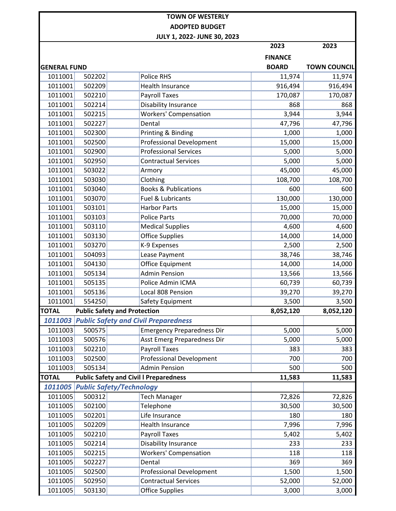|                     |                  | JULY 1, 2022- JUNE 30, 2023                         | 2023           | 2023                |
|---------------------|------------------|-----------------------------------------------------|----------------|---------------------|
|                     |                  |                                                     |                |                     |
|                     |                  |                                                     | <b>FINANCE</b> | <b>TOWN COUNCIL</b> |
| <b>GENERAL FUND</b> |                  |                                                     | <b>BOARD</b>   |                     |
| 1011001             | 502202<br>502209 | <b>Police RHS</b>                                   | 11,974         | 11,974              |
| 1011001<br>1011001  | 502210           | <b>Health Insurance</b>                             | 916,494        | 916,494             |
| 1011001             | 502214           | <b>Payroll Taxes</b><br>Disability Insurance        | 170,087<br>868 | 170,087<br>868      |
| 1011001             | 502215           | <b>Workers' Compensation</b>                        | 3,944          | 3,944               |
| 1011001             | 502227           | Dental                                              | 47,796         |                     |
| 1011001             | 502300           | Printing & Binding                                  | 1,000          | 47,796<br>1,000     |
| 1011001             | 502500           | <b>Professional Development</b>                     | 15,000         | 15,000              |
| 1011001             | 502900           | <b>Professional Services</b>                        | 5,000          | 5,000               |
| 1011001             | 502950           | <b>Contractual Services</b>                         | 5,000          | 5,000               |
| 1011001             | 503022           | Armory                                              | 45,000         | 45,000              |
| 1011001             | 503030           | Clothing                                            | 108,700        | 108,700             |
| 1011001             | 503040           | <b>Books &amp; Publications</b>                     | 600            | 600                 |
| 1011001             | 503070           | <b>Fuel &amp; Lubricants</b>                        | 130,000        | 130,000             |
| 1011001             | 503101           | <b>Harbor Parts</b>                                 | 15,000         | 15,000              |
| 1011001             | 503103           | <b>Police Parts</b>                                 | 70,000         | 70,000              |
| 1011001             | 503110           | <b>Medical Supplies</b>                             | 4,600          | 4,600               |
| 1011001             | 503130           | <b>Office Supplies</b>                              | 14,000         | 14,000              |
| 1011001             | 503270           | K-9 Expenses                                        | 2,500          | 2,500               |
| 1011001             | 504093           | Lease Payment                                       | 38,746         | 38,746              |
| 1011001             | 504130           | Office Equipment                                    | 14,000         | 14,000              |
| 1011001             | 505134           | <b>Admin Pension</b>                                | 13,566         | 13,566              |
| 1011001             | 505135           | Police Admin ICMA                                   | 60,739         | 60,739              |
| 1011001             | 505136           | Local 808 Pension                                   | 39,270         | 39,270              |
| 1011001             | 554250           | Safety Equipment                                    | 3,500          | 3,500               |
| <b>TOTAL</b>        |                  | <b>Public Safety and Protection</b>                 | 8,052,120      | 8,052,120           |
|                     |                  | <b>1011003 Public Safety and Civil Preparedness</b> |                |                     |
| 1011003             | 500575           | <b>Emergency Preparedness Dir</b>                   | 5,000          | 5,000               |
| 1011003             | 500576           | Asst Emerg Preparedness Dir                         | 5,000          | 5,000               |
| 1011003             | 502210           | <b>Payroll Taxes</b>                                | 383            | 383                 |
| 1011003             | 502500           | <b>Professional Development</b>                     | 700            | 700                 |
| 1011003             | 505134           | <b>Admin Pension</b>                                | 500            | 500                 |
| <b>TOTAL</b>        |                  | <b>Public Safety and Civil I Preparedness</b>       | 11,583         | 11,583              |
|                     |                  | <b>1011005 Public Safety/Technology</b>             |                |                     |
| 1011005             | 500312           | <b>Tech Manager</b>                                 | 72,826         | 72,826              |
| 1011005             | 502100           | Telephone                                           | 30,500         | 30,500              |
| 1011005             | 502201           | Life Insurance                                      | 180            | 180                 |
| 1011005             | 502209           | <b>Health Insurance</b>                             | 7,996          | 7,996               |
| 1011005             | 502210           | <b>Payroll Taxes</b>                                | 5,402          | 5,402               |
| 1011005             | 502214           | Disability Insurance                                | 233            | 233                 |
| 1011005             | 502215           | <b>Workers' Compensation</b>                        | 118            | 118                 |
| 1011005             | 502227           | Dental                                              | 369            | 369                 |
| 1011005             | 502500           | <b>Professional Development</b>                     | 1,500          | 1,500               |
| 1011005             | 502950           | <b>Contractual Services</b>                         | 52,000         | 52,000              |
| 1011005             | 503130           | <b>Office Supplies</b>                              | 3,000          | 3,000               |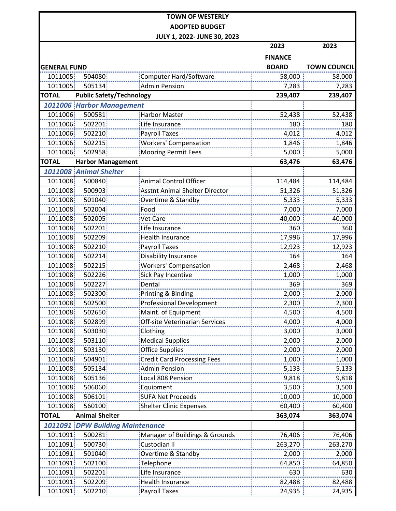|                     |                                 | JULY 1, 2022- JUNE 30, 2023           | 2023           | 2023                |
|---------------------|---------------------------------|---------------------------------------|----------------|---------------------|
|                     |                                 |                                       |                |                     |
|                     |                                 |                                       | <b>FINANCE</b> |                     |
| <b>GENERAL FUND</b> |                                 |                                       | <b>BOARD</b>   | <b>TOWN COUNCIL</b> |
| 1011005             | 504080                          | Computer Hard/Software                | 58,000         | 58,000              |
| 1011005             | 505134                          | <b>Admin Pension</b>                  | 7,283          | 7,283               |
| <b>TOTAL</b>        | <b>Public Safety/Technology</b> |                                       | 239,407        | 239,407             |
|                     | 1011006 Harbor Management       |                                       |                |                     |
| 1011006             | 500581                          | <b>Harbor Master</b>                  | 52,438         | 52,438              |
| 1011006             | 502201                          | Life Insurance                        | 180            | 180                 |
| 1011006             | 502210                          | <b>Payroll Taxes</b>                  | 4,012          | 4,012               |
| 1011006             | 502215                          | <b>Workers' Compensation</b>          | 1,846          | 1,846               |
| 1011006             | 502958                          | <b>Mooring Permit Fees</b>            | 5,000          | 5,000               |
| <b>TOTAL</b>        | <b>Harbor Management</b>        |                                       | 63,476         | 63,476              |
|                     | 1011008 Animal Shelter          |                                       |                |                     |
| 1011008             | 500840                          | <b>Animal Control Officer</b>         | 114,484        | 114,484             |
| 1011008             | 500903                          | <b>Asstnt Animal Shelter Director</b> | 51,326         | 51,326              |
| 1011008             | 501040                          | Overtime & Standby                    | 5,333          | 5,333               |
| 1011008             | 502004                          | Food                                  | 7,000          | 7,000               |
| 1011008             | 502005                          | <b>Vet Care</b>                       | 40,000         | 40,000              |
| 1011008             | 502201                          | Life Insurance                        | 360            | 360                 |
| 1011008             | 502209                          | <b>Health Insurance</b>               | 17,996         | 17,996              |
| 1011008             | 502210                          | <b>Payroll Taxes</b>                  | 12,923         | 12,923              |
| 1011008             | 502214                          | <b>Disability Insurance</b>           | 164            | 164                 |
| 1011008             | 502215                          | <b>Workers' Compensation</b>          | 2,468          | 2,468               |
| 1011008             | 502226                          | Sick Pay Incentive                    | 1,000          | 1,000               |
| 1011008             | 502227                          | Dental                                | 369            | 369                 |
| 1011008             | 502300                          | Printing & Binding                    | 2,000          | 2,000               |
| 1011008             | 502500                          | Professional Development              | 2,300          | 2,300               |
| 1011008             | 502650                          | Maint. of Equipment                   | 4,500          | 4,500               |
| 1011008             | 502899                          | Off-site Veterinarian Services        | 4,000          | 4,000               |
| 1011008             | 503030                          | Clothing                              | 3,000          | 3,000               |
| 1011008             | 503110                          | <b>Medical Supplies</b>               | 2,000          | 2,000               |
| 1011008             | 503130                          | <b>Office Supplies</b>                | 2,000          | 2,000               |
| 1011008             | 504901                          | <b>Credit Card Processing Fees</b>    | 1,000          | 1,000               |
| 1011008             | 505134                          | <b>Admin Pension</b>                  | 5,133          | 5,133               |
| 1011008             | 505136                          | Local 808 Pension                     | 9,818          | 9,818               |
| 1011008             | 506060                          | Equipment                             | 3,500          | 3,500               |
| 1011008             | 506101                          | <b>SUFA Net Proceeds</b>              | 10,000         | 10,000              |
| 1011008             | 560100                          | <b>Shelter Clinic Expenses</b>        | 60,400         | 60,400              |
| <b>TOTAL</b>        | <b>Animal Shelter</b>           |                                       | 363,074        | 363,074             |
| 1011091             | <b>DPW Building Maintenance</b> |                                       |                |                     |
| 1011091             | 500281                          | Manager of Buildings & Grounds        | 76,406         | 76,406              |
| 1011091             | 500730                          | Custodian II                          | 263,270        | 263,270             |
| 1011091             | 501040                          | Overtime & Standby                    | 2,000          | 2,000               |
| 1011091             | 502100                          | Telephone                             | 64,850         | 64,850              |
| 1011091             | 502201                          | Life Insurance                        | 630            | 630                 |
| 1011091             | 502209                          | Health Insurance                      | 82,488         | 82,488              |
| 1011091             | 502210                          | <b>Payroll Taxes</b>                  | 24,935         | 24,935              |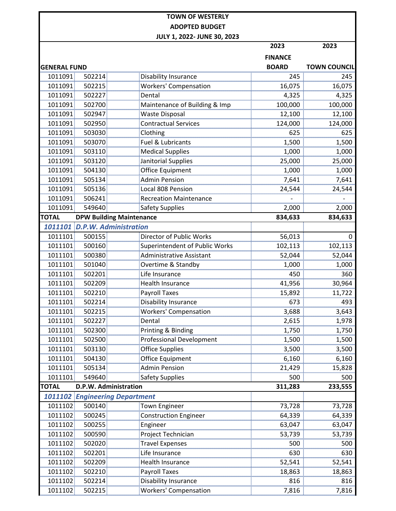|                     |        |                                       | 2023           | 2023                |
|---------------------|--------|---------------------------------------|----------------|---------------------|
|                     |        |                                       | <b>FINANCE</b> |                     |
| <b>GENERAL FUND</b> |        |                                       | <b>BOARD</b>   | <b>TOWN COUNCIL</b> |
| 1011091             | 502214 | Disability Insurance                  | 245            | 245                 |
| 1011091             | 502215 | <b>Workers' Compensation</b>          | 16,075         | 16,075              |
| 1011091             | 502227 | Dental                                | 4,325          | 4,325               |
| 1011091             | 502700 | Maintenance of Building & Imp         | 100,000        | 100,000             |
| 1011091             | 502947 | <b>Waste Disposal</b>                 | 12,100         | 12,100              |
| 1011091             | 502950 | <b>Contractual Services</b>           | 124,000        | 124,000             |
| 1011091             | 503030 | Clothing                              | 625            | 625                 |
| 1011091             | 503070 | Fuel & Lubricants                     | 1,500          | 1,500               |
| 1011091             | 503110 | <b>Medical Supplies</b>               | 1,000          | 1,000               |
| 1011091             | 503120 | Janitorial Supplies                   | 25,000         | 25,000              |
| 1011091             | 504130 | <b>Office Equipment</b>               | 1,000          | 1,000               |
| 1011091             | 505134 | <b>Admin Pension</b>                  | 7,641          | 7,641               |
| 1011091             | 505136 | Local 808 Pension                     | 24,544         | 24,544              |
| 1011091             | 506241 | <b>Recreation Maintenance</b>         |                |                     |
| 1011091             | 549640 | <b>Safety Supplies</b>                | 2,000          | 2,000               |
| <b>TOTAL</b>        |        | <b>DPW Building Maintenance</b>       | 834,633        | 834,633             |
|                     |        | 1011101 D.P.W. Administration         |                |                     |
| 1011101             | 500155 | Director of Public Works              | 56,013         | 0                   |
| 1011101             | 500160 | Superintendent of Public Works        | 102,113        | 102,113             |
| 1011101             | 500380 | <b>Administrative Assistant</b>       | 52,044         | 52,044              |
| 1011101             | 501040 | Overtime & Standby                    | 1,000          | 1,000               |
| 1011101             | 502201 | Life Insurance                        | 450            | 360                 |
| 1011101             | 502209 | <b>Health Insurance</b>               | 41,956         | 30,964              |
| 1011101             | 502210 | <b>Payroll Taxes</b>                  | 15,892         | 11,722              |
| 1011101             | 502214 | Disability Insurance                  | 673            | 493                 |
| 1011101             | 502215 | <b>Workers' Compensation</b>          | 3,688          | 3,643               |
| 1011101             | 502227 | Dental                                | 2,615          | 1,978               |
| 1011101             | 502300 | Printing & Binding                    | 1,750          | 1,750               |
| 1011101             | 502500 | <b>Professional Development</b>       | 1,500          | 1,500               |
| 1011101             | 503130 | <b>Office Supplies</b>                | 3,500          | 3,500               |
| 1011101             | 504130 | Office Equipment                      | 6,160          | 6,160               |
| 1011101             | 505134 | <b>Admin Pension</b>                  | 21,429         | 15,828              |
| 1011101             | 549640 | <b>Safety Supplies</b>                | 500            | 500                 |
| <b>TOTAL</b>        |        | D.P.W. Administration                 | 311,283        | 233,555             |
|                     |        | <b>1011102 Engineering Department</b> |                |                     |
| 1011102             | 500140 | <b>Town Engineer</b>                  | 73,728         | 73,728              |
| 1011102             | 500245 | <b>Construction Engineer</b>          | 64,339         | 64,339              |
| 1011102             | 500255 | Engineer                              | 63,047         | 63,047              |
| 1011102             | 500590 | Project Technician                    | 53,739         | 53,739              |
| 1011102             | 502020 | <b>Travel Expenses</b>                | 500            | 500                 |
| 1011102             | 502201 | Life Insurance                        | 630            | 630                 |
| 1011102             | 502209 | <b>Health Insurance</b>               | 52,541         | 52,541              |
| 1011102             | 502210 | <b>Payroll Taxes</b>                  | 18,863         | 18,863              |
| 1011102             | 502214 | Disability Insurance                  | 816            | 816                 |
| 1011102             | 502215 | <b>Workers' Compensation</b>          | 7,816          | 7,816               |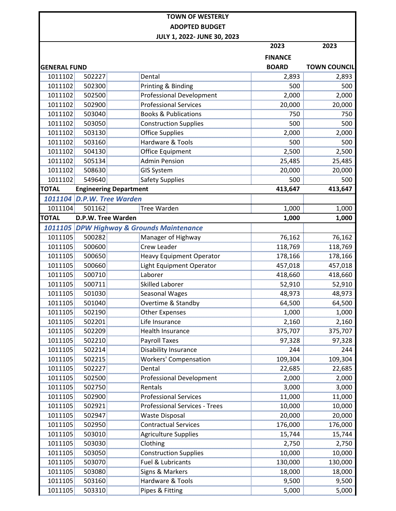|                            |                    | JULI 1, ZUZZ-JUNE 3U, ZUZ3                | 2023           | 2023                |
|----------------------------|--------------------|-------------------------------------------|----------------|---------------------|
|                            |                    |                                           | <b>FINANCE</b> |                     |
| <b>GENERAL FUND</b>        |                    |                                           | <b>BOARD</b>   | <b>TOWN COUNCIL</b> |
| 1011102                    | 502227             | Dental                                    | 2,893          | 2,893               |
| 1011102                    | 502300             | Printing & Binding                        | 500            | 500                 |
| 1011102                    | 502500             | <b>Professional Development</b>           | 2,000          | 2,000               |
| 1011102                    | 502900             | <b>Professional Services</b>              | 20,000         | 20,000              |
| 1011102                    | 503040             | <b>Books &amp; Publications</b>           | 750            | 750                 |
| 1011102                    | 503050             | <b>Construction Supplies</b>              | 500            | <br>500             |
| 1011102                    | 503130             | <b>Office Supplies</b>                    | 2,000          | 2,000               |
| 1011102                    | 503160             | Hardware & Tools                          | 500            | 500                 |
| 1011102                    | 504130             | Office Equipment                          | 2,500          | 2,500               |
| 1011102                    | 505134             | <b>Admin Pension</b>                      | 25,485         | 25,485              |
| 1011102                    | 508630             | <b>GIS System</b>                         | 20,000         | 20,000              |
| 1011102                    | 549640             | <b>Safety Supplies</b>                    | 500            | 500                 |
| <b>TOTAL</b>               |                    | <b>Engineering Department</b>             | 413,647        | 413,647             |
| 1011104 D.P.W. Tree Warden |                    |                                           |                |                     |
| 1011104                    | 501162             | Tree Warden                               | 1,000          | 1,000               |
| <b>TOTAL</b>               | D.P.W. Tree Warden |                                           | 1,000          | 1,000               |
|                            |                    | 1011105 DPW Highway & Grounds Maintenance |                |                     |
| 1011105                    | 500282             | Manager of Highway                        | 76,162         | 76,162              |
| 1011105                    | 500600             | <b>Crew Leader</b>                        | 118,769        | 118,769             |
| 1011105                    | 500650             | <b>Heavy Equipment Operator</b>           | 178,166        | 178,166             |
| 1011105                    | 500660             | <b>Light Equipment Operator</b>           | 457,018        | 457,018             |
| 1011105                    | 500710             | Laborer                                   | 418,660        | 418,660             |
| 1011105                    | 500711             | <b>Skilled Laborer</b>                    | 52,910         | 52,910              |
| 1011105                    | 501030             | <b>Seasonal Wages</b>                     | 48,973         | 48,973              |
| 1011105                    | 501040             | Overtime & Standby                        | 64,500         | 64,500              |
| 1011105                    | 502190             | <b>Other Expenses</b>                     | 1,000          | 1,000               |
| 1011105                    | 502201             | Life Insurance                            | 2,160          | 2,160               |
| 1011105                    | 502209             | <b>Health Insurance</b>                   | 375,707        | 375,707             |
| 1011105                    | 502210             | <b>Payroll Taxes</b>                      | 97,328         | 97,328              |
| 1011105                    | 502214             | Disability Insurance                      | 244            | 244                 |
| 1011105                    | 502215             | <b>Workers' Compensation</b>              | 109,304        | 109,304             |
| 1011105                    | 502227             | Dental                                    | 22,685         | 22,685              |
| 1011105                    | 502500             | <b>Professional Development</b>           | 2,000          | 2,000               |
| 1011105                    | 502750             | Rentals                                   | 3,000          | 3,000               |
| 1011105                    | 502900             | <b>Professional Services</b>              | 11,000         | 11,000              |
| 1011105                    | 502921             | <b>Professional Services - Trees</b>      | 10,000         | 10,000              |
| 1011105                    | 502947             | <b>Waste Disposal</b>                     | 20,000         | 20,000              |
| 1011105                    | 502950             | <b>Contractual Services</b>               | 176,000        | 176,000             |
| 1011105                    | 503010             | <b>Agriculture Supplies</b>               | 15,744         | 15,744              |
| 1011105                    | 503030             | Clothing                                  | 2,750          | 2,750               |
| 1011105                    | 503050             | <b>Construction Supplies</b>              | 10,000         | 10,000              |
| 1011105                    | 503070             | Fuel & Lubricants                         | 130,000        | 130,000             |
| 1011105                    | 503080             | Signs & Markers                           | 18,000         | 18,000              |
| 1011105                    | 503160             | Hardware & Tools                          | 9,500          | 9,500               |
| 1011105                    | 503310             | Pipes & Fitting                           | 5,000          | 5,000               |
|                            |                    |                                           |                |                     |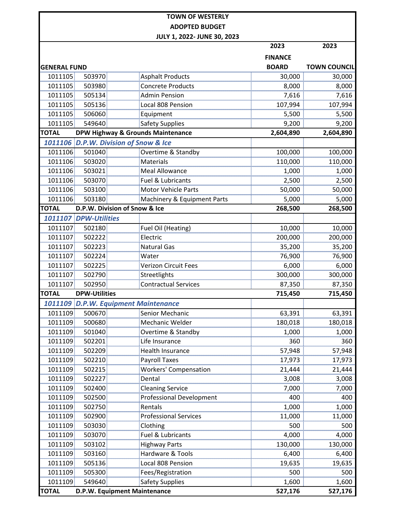|                     |                                         | <b>TOWN OF WESTERLY</b>               |                  |                     |
|---------------------|-----------------------------------------|---------------------------------------|------------------|---------------------|
|                     |                                         | <b>ADOPTED BUDGET</b>                 |                  |                     |
|                     |                                         | JULY 1, 2022- JUNE 30, 2023           |                  |                     |
|                     |                                         |                                       | 2023             | 2023                |
|                     |                                         |                                       | <b>FINANCE</b>   |                     |
| <b>GENERAL FUND</b> |                                         |                                       | <b>BOARD</b>     | <b>TOWN COUNCIL</b> |
| 1011105             | 503970                                  | <b>Asphalt Products</b>               | 30,000           | 30,000              |
| 1011105             | 503980                                  | <b>Concrete Products</b>              | 8,000            | 8,000               |
| 1011105             | 505134                                  | <b>Admin Pension</b>                  | 7,616            | 7,616               |
| 1011105             | 505136                                  | Local 808 Pension                     | 107,994          | 107,994             |
| 1011105             | 506060                                  | Equipment                             | 5,500            | 5,500               |
| 1011105             | 549640                                  | <b>Safety Supplies</b>                | 9,200            | 9,200               |
| <b>TOTAL</b>        |                                         | DPW Highway & Grounds Maintenance     | 2,604,890        | 2,604,890           |
|                     |                                         | 1011106 D.P.W. Division of Snow & Ice |                  |                     |
| 1011106             | 501040                                  | Overtime & Standby                    | 100,000          | 100,000             |
| 1011106             | 503020                                  | Materials                             | 110,000          | 110,000             |
| 1011106             | 503021                                  | <b>Meal Allowance</b>                 | 1,000            | 1,000               |
| 1011106             | 503070                                  | Fuel & Lubricants                     | 2,500            |                     |
| 1011106             |                                         |                                       |                  | 2,500               |
| 1011106             | 503100                                  | <b>Motor Vehicle Parts</b>            | 50,000           | 50,000              |
| <b>TOTAL</b>        | 503180<br>D.P.W. Division of Snow & Ice | Machinery & Equipment Parts           | 5,000<br>268,500 | 5,000<br>268,500    |
|                     |                                         |                                       |                  |                     |
|                     | 1011107 DPW-Utilities                   |                                       |                  |                     |
| 1011107             | 502180                                  | Fuel Oil (Heating)                    | 10,000           | 10,000              |
| 1011107             | 502222                                  | Electric                              | 200,000          | 200,000             |
| 1011107             | 502223                                  | <b>Natural Gas</b>                    | 35,200           | 35,200              |
| 1011107             | 502224                                  | Water                                 | 76,900           | 76,900              |
| 1011107             | 502225                                  | <b>Verizon Circuit Fees</b>           | 6,000            | 6,000               |
| 1011107             | 502790                                  | Streetlights                          | 300,000          | 300,000             |
| 1011107             | 502950                                  | <b>Contractual Services</b>           | 87,350           | 87,350              |
| <b>TOTAL</b>        | <b>DPW-Utilities</b>                    |                                       | 715,450          | 715,450             |
|                     |                                         | 1011109 D.P.W. Equipment Maintenance  |                  |                     |
| 1011109             | 500670                                  | Senior Mechanic                       | 63,391           | 63,391              |
| 1011109             | 500680                                  | Mechanic Welder                       | 180,018          | 180,018             |
| 1011109             | 501040                                  | Overtime & Standby                    | 1,000            | 1,000               |
| 1011109             | 502201                                  | Life Insurance                        | 360              | 360                 |
| 1011109             | 502209                                  | Health Insurance                      | 57,948           | 57,948              |
| 1011109             | 502210                                  | <b>Payroll Taxes</b>                  | 17,973           | 17,973              |
| 1011109             | 502215                                  | <b>Workers' Compensation</b>          | 21,444           | 21,444              |
| 1011109             | 502227                                  | Dental                                | 3,008            | 3,008               |
| 1011109             | 502400                                  | <b>Cleaning Service</b>               | 7,000            | 7,000               |
| 1011109             | 502500                                  | <b>Professional Development</b>       | 400              | 400                 |
| 1011109             | 502750                                  | Rentals                               | 1,000            | 1,000               |
| 1011109             | 502900                                  | <b>Professional Services</b>          | 11,000           | 11,000              |
| 1011109             | 503030                                  | Clothing                              | 500              | 500                 |
| 1011109             | 503070                                  | Fuel & Lubricants                     | 4,000            | 4,000               |
| 1011109             | 503102                                  | <b>Highway Parts</b>                  | 130,000          | 130,000             |
| 1011109             | 503160                                  | <b>Hardware &amp; Tools</b>           | 6,400            | 6,400               |
| 1011109             | 505136                                  | Local 808 Pension                     | 19,635           | 19,635              |
| 1011109             | 505300                                  | Fees/Registration                     | 500              | 500                 |
| 1011109             | 549640                                  | Safety Supplies                       | 1,600            | 1,600               |
| <b>TOTAL</b>        |                                         | D.P.W. Equipment Maintenance          | 527,176          | 527,176             |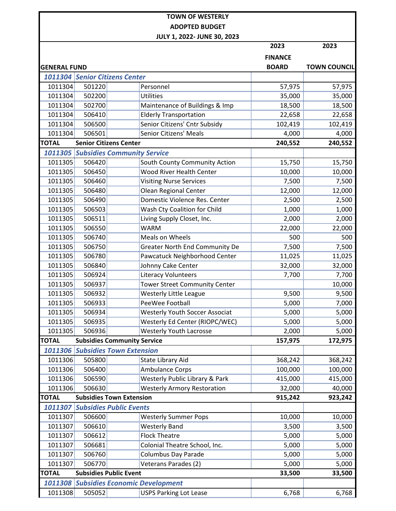|                     |                               | <b>TOWN OF WESTERLY</b>                       |                |                     |
|---------------------|-------------------------------|-----------------------------------------------|----------------|---------------------|
|                     |                               | <b>ADOPTED BUDGET</b>                         |                |                     |
|                     |                               | JULY 1, 2022- JUNE 30, 2023                   |                |                     |
|                     |                               |                                               | 2023           | 2023                |
|                     |                               |                                               | <b>FINANCE</b> |                     |
| <b>GENERAL FUND</b> |                               |                                               | <b>BOARD</b>   | <b>TOWN COUNCIL</b> |
|                     |                               | 1011304 Senior Citizens Center                |                |                     |
| 1011304             | 501220                        | Personnel                                     | 57,975         | 57,975              |
| 1011304             | 502200                        | Utilities                                     | 35,000         | 35,000              |
| 1011304             | 502700                        | Maintenance of Buildings & Imp                | 18,500         | 18,500              |
| 1011304             | 506410                        | <b>Elderly Transportation</b>                 | 22,658         | 22,658              |
| 1011304             | 506500                        | Senior Citizens' Cntr Subsidy                 | 102,419        | 102,419             |
| 1011304             | 506501                        | Senior Citizens' Meals                        | 4,000          | 4,000               |
| <b>TOTAL</b>        | <b>Senior Citizens Center</b> |                                               | 240,552        | 240,552             |
|                     |                               | <b>1011305 Subsidies Community Service</b>    |                |                     |
| 1011305             | 506420                        | South County Community Action                 | 15,750         | 15,750              |
| 1011305             | 506450                        | <b>Wood River Health Center</b>               | 10,000         | 10,000              |
| 1011305             | 506460                        | Visiting Nurse Services                       | 7,500          | 7,500               |
| 1011305             | 506480                        | Olean Regional Center                         | 12,000         | 12,000              |
| 1011305             | 506490                        | Domestic Violence Res. Center                 | 2,500          | 2,500               |
| 1011305             | 506503                        | Wash Cty Coalition for Child                  | 1,000          | 1,000               |
| 1011305             | 506511                        | Living Supply Closet, Inc.                    | 2,000          | 2,000               |
| 1011305             | 506550                        | <b>WARM</b>                                   | 22,000         | 22,000              |
| 1011305             | 506740                        | Meals on Wheels                               | 500            | 500                 |
| 1011305             | 506750                        | <b>Greater North End Community De</b>         | 7,500          | 7,500               |
| 1011305             | 506780                        | Pawcatuck Neighborhood Center                 | 11,025         | 11,025              |
| 1011305             | 506840                        | Johnny Cake Center                            | 32,000         | 32,000              |
| 1011305             | 506924                        | <b>Literacy Volunteers</b>                    | 7,700          | 7,700               |
| 1011305             | 506937                        | <b>Tower Street Community Center</b>          |                | 10,000              |
| 1011305             | 506932                        | <b>Westerly Little League</b>                 | 9,500          | 9,500               |
| 1011305             | 506933                        | PeeWee Football                               | 5,000          | 7,000               |
| 1011305             | 506934                        | <b>Westerly Youth Soccer Associat</b>         | 5,000          | 5,000               |
| 1011305             | 506935                        | Westerly Ed Center (RIOPC/WEC)                | 5,000          | 5,000               |
| 1011305             | 506936                        | Westerly Youth Lacrosse                       | 2,000          | 5,000               |
| <b>TOTAL</b>        |                               | <b>Subsidies Community Service</b>            | 157,975        | 172,975             |
|                     |                               | <b>1011306 Subsidies Town Extension</b>       |                |                     |
| 1011306             | 505800                        | State Library Aid                             | 368,242        | 368,242             |
| 1011306             | 506400                        | <b>Ambulance Corps</b>                        | 100,000        | 100,000             |
| 1011306             | 506590                        | Westerly Public Library & Park                | 415,000        | 415,000             |
| 1011306             | 506630                        | <b>Westerly Armory Restoration</b>            | 32,000         | 40,000              |
| <b>TOTAL</b>        |                               | <b>Subsidies Town Extension</b>               | 915,242        | 923,242             |
|                     |                               | <b>1011307 Subsidies Public Events</b>        |                |                     |
| 1011307             | 506600                        | <b>Westerly Summer Pops</b>                   | 10,000         | 10,000              |
| 1011307             | 506610                        | <b>Westerly Band</b>                          | 3,500          | 3,500               |
| 1011307             | 506612                        | <b>Flock Theatre</b>                          | 5,000          | 5,000               |
| 1011307             | 506681                        | Colonial Theatre School, Inc.                 | 5,000          | 5,000               |
| 1011307             | 506760                        | <b>Columbus Day Parade</b>                    | 5,000          | 5,000               |
| 1011307             | 506770                        | Veterans Parades (2)                          | 5,000          | 5,000               |
| <b>TOTAL</b>        | <b>Subsidies Public Event</b> |                                               | 33,500         | 33,500              |
|                     |                               | <b>1011308 Subsidies Economic Development</b> |                |                     |
| 1011308             | 505052                        | <b>USPS Parking Lot Lease</b>                 | 6,768          | 6,768               |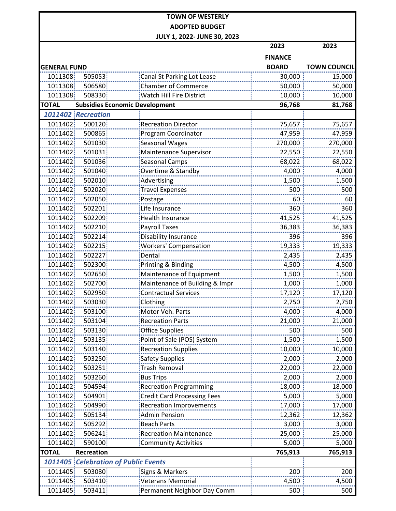|                     |                                             |                                       | 2023           | 2023                |
|---------------------|---------------------------------------------|---------------------------------------|----------------|---------------------|
|                     |                                             |                                       | <b>FINANCE</b> |                     |
| <b>GENERAL FUND</b> |                                             |                                       | <b>BOARD</b>   | <b>TOWN COUNCIL</b> |
| 1011308             | 505053                                      | Canal St Parking Lot Lease            | 30,000         | 15,000              |
| 1011308             | 506580                                      | <b>Chamber of Commerce</b>            | 50,000         | 50,000              |
| 1011308             | 508330                                      | Watch Hill Fire District              | 10,000         | 10,000              |
| <b>TOTAL</b>        |                                             | <b>Subsidies Economic Development</b> | 96,768         | 81,768              |
|                     | 1011402 Recreation                          |                                       |                |                     |
| 1011402             | 500120                                      | <b>Recreation Director</b>            | 75,657         | 75,657              |
| 1011402             | 500865                                      | Program Coordinator                   | 47,959         | 47,959              |
| 1011402             | 501030                                      | Seasonal Wages                        | 270,000        | 270,000             |
| 1011402             | 501031                                      | Maintenance Supervisor                | 22,550         | 22,550              |
| 1011402             | 501036                                      | <b>Seasonal Camps</b>                 | 68,022         | 68,022              |
| 1011402             | 501040                                      | Overtime & Standby                    | 4,000          | 4,000               |
| 1011402             | 502010                                      | Advertising                           | 1,500          | 1,500               |
| 1011402             | 502020                                      | <b>Travel Expenses</b>                | 500            | 500                 |
| 1011402             | 502050                                      | Postage                               | 60             | 60                  |
| 1011402             | 502201                                      | Life Insurance                        | 360            | 360                 |
| 1011402             | 502209                                      | <b>Health Insurance</b>               | 41,525         | 41,525              |
| 1011402             | 502210                                      | <b>Payroll Taxes</b>                  | 36,383         | 36,383              |
| 1011402             | 502214                                      | Disability Insurance                  | 396            | 396<br>             |
| 1011402             | 502215                                      | Workers' Compensation                 | 19,333         | 19,333              |
| 1011402             | 502227                                      | Dental                                | 2,435          | 2,435               |
| 1011402             | 502300                                      | Printing & Binding                    | 4,500          | 4,500               |
| 1011402             | 502650                                      | Maintenance of Equipment              | 1,500          | 1,500               |
| 1011402             | 502700                                      | Maintenance of Building & Impr        | 1,000          | 1,000               |
| 1011402             | 502950                                      | <b>Contractual Services</b>           | 17,120         | 17,120              |
| 1011402             | 503030                                      | Clothing                              | 2,750          | 2,750               |
| 1011402             | 503100                                      | Motor Veh. Parts                      | 4,000          | 4,000               |
| 1011402             | 503104                                      | <b>Recreation Parts</b>               | 21,000         | 21,000              |
| 1011402             | 503130                                      | Office Supplies                       | 500            | 500                 |
| 1011402             | 503135                                      | Point of Sale (POS) System            | 1,500          | 1,500               |
| 1011402             | 503140                                      | <b>Recreation Supplies</b>            | 10,000         | 10,000              |
| 1011402             | 503250                                      | <b>Safety Supplies</b>                | 2,000          | 2,000               |
| 1011402             | 503251                                      | Trash Removal                         | 22,000         | 22,000              |
| 1011402             | 503260                                      | <b>Bus Trips</b>                      | 2,000          | 2,000               |
| 1011402             | 504594                                      | <b>Recreation Programming</b>         | 18,000         | 18,000              |
| 1011402             | 504901                                      | <b>Credit Card Processing Fees</b>    | 5,000          | 5,000               |
| 1011402             | 504990                                      | <b>Recreation Improvements</b>        | 17,000         | 17,000              |
| 1011402             | 505134                                      | <b>Admin Pension</b>                  | 12,362         | 12,362              |
| 1011402             | 505292                                      | <b>Beach Parts</b>                    | 3,000          | 3,000               |
| 1011402             | 506241                                      | <b>Recreation Maintenance</b>         | 25,000         | 25,000              |
| 1011402             | 590100                                      | <b>Community Activities</b>           | 5,000          | 5,000               |
| <b>TOTAL</b>        | <b>Recreation</b>                           |                                       | 765,913        | 765,913             |
|                     | <b>1011405 Celebration of Public Events</b> |                                       |                |                     |
| 1011405             | 503080                                      | Signs & Markers                       | 200            | 200                 |
| 1011405             | 503410                                      | Veterans Memorial                     | 4,500          | 4,500               |
| 1011405             | 503411                                      | Permanent Neighbor Day Comm           | 500            | 500                 |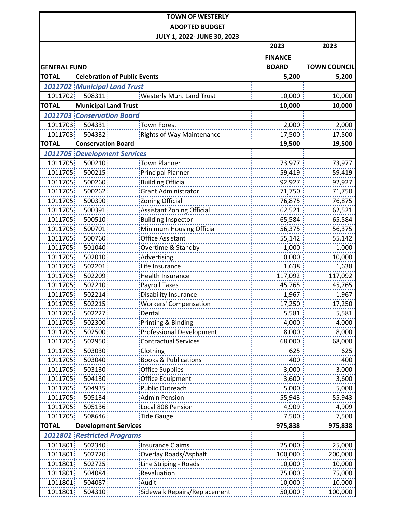**JULY 1, 2022- JUNE 30, 2023**

|                     |                                     | JULY 1, ZUZZ-JUNE 3U, ZUZ3      | 2023           | 2023                |
|---------------------|-------------------------------------|---------------------------------|----------------|---------------------|
|                     |                                     |                                 | <b>FINANCE</b> |                     |
| <b>GENERAL FUND</b> |                                     |                                 | <b>BOARD</b>   | <b>TOWN COUNCIL</b> |
| <b>TOTAL</b>        | <b>Celebration of Public Events</b> |                                 | 5,200          | 5,200               |
|                     | <b>1011702 Municipal Land Trust</b> |                                 |                |                     |
| 1011702             | 508311                              | Westerly Mun. Land Trust        | 10,000         | 10,000              |
| <b>TOTAL</b>        | <b>Municipal Land Trust</b>         |                                 | 10,000         | 10,000              |
|                     | <b>1011703 Conservation Board</b>   |                                 |                |                     |
| 1011703             | 504331                              | Town Forest                     | 2,000          | 2,000               |
| 1011703             | 504332                              | Rights of Way Maintenance       | 17,500         | 17,500              |
| <b>TOTAL</b>        | <b>Conservation Board</b>           |                                 | 19,500         | 19,500              |
|                     | <b>1011705 Development Services</b> |                                 |                |                     |
| 1011705             | 500210                              | Town Planner                    | 73,977         | 73,977              |
| 1011705             | 500215                              | <b>Principal Planner</b>        | 59,419         | 59,419              |
| 1011705             | 500260                              | <b>Building Official</b>        | 92,927         | 92,927              |
| 1011705             | 500262                              | <b>Grant Administrator</b>      | 71,750         | 71,750              |
| 1011705             | 500390                              | Zoning Official                 | 76,875         | 76,875              |
| 1011705             | 500391                              | Assistant Zoning Official       | 62,521         | 62,521              |
| 1011705             | 500510                              | <b>Building Inspector</b>       | 65,584         | 65,584              |
| 1011705             | 500701                              | Minimum Housing Official        | 56,375         | 56,375              |
| 1011705             | 500760                              | <b>Office Assistant</b>         | 55,142         | 55,142              |
| 1011705             | 501040                              | Overtime & Standby              | 1,000          | 1,000               |
| 1011705             | 502010                              | Advertising                     | 10,000         | 10,000              |
| 1011705             | 502201                              | Life Insurance                  | 1,638          | 1,638               |
| 1011705             | 502209                              | <b>Health Insurance</b>         | 117,092        | 117,092             |
| 1011705             | 502210                              | <b>Payroll Taxes</b>            | 45,765         | 45,765              |
| 1011705             | 502214                              | Disability Insurance            | 1,967          | 1,967               |
| 1011705             | 502215                              | <b>Workers' Compensation</b>    | 17,250         | 17,250              |
| 1011705             | 502227                              | Dental                          | 5,581          | 5,581               |
| 1011705             | 502300                              | Printing & Binding              | 4,000          | 4,000               |
| 1011705             | 502500                              | <b>Professional Development</b> | 8,000          | 8,000               |
| 1011705             | 502950                              | <b>Contractual Services</b>     | 68,000         | 68,000              |
| 1011705             | 503030                              | Clothing                        | 625            | 625                 |
| 1011705             | 503040                              | <b>Books &amp; Publications</b> | 400            | 400                 |
| 1011705             | 503130                              | <b>Office Supplies</b>          | 3,000          | 3,000               |
| 1011705             | 504130                              | Office Equipment                | 3,600          | 3,600               |
| 1011705             | 504935                              | <b>Public Outreach</b>          | 5,000          | 5,000               |
| 1011705             | 505134                              | <b>Admin Pension</b>            | 55,943         | 55,943              |
| 1011705             | 505136                              | Local 808 Pension               | 4,909          | 4,909               |
| 1011705             | 508646                              | <b>Tide Gauge</b>               | 7,500          | 7,500               |
| <b>TOTAL</b>        | <b>Development Services</b>         |                                 | 975,838        | 975,838             |
| 1011801             | <b>Restricted Programs</b>          |                                 |                |                     |
| 1011801             | 502340                              | Insurance Claims                | 25,000         | 25,000              |
| 1011801             | 502720                              | <b>Overlay Roads/Asphalt</b>    | 100,000        | 200,000             |
| 1011801             | 502725                              | Line Striping - Roads           | 10,000         | 10,000              |
| 1011801             | 504084                              | Revaluation                     | 75,000         | 75,000              |
| 1011801             | 504087                              | Audit                           | 10,000         | 10,000              |
| 1011801             | 504310                              | Sidewalk Repairs/Replacement    | 50,000         | 100,000             |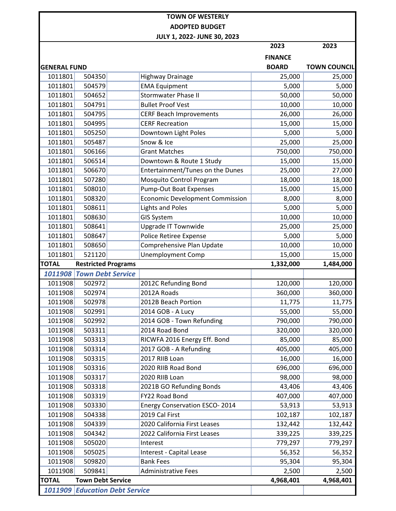|                     |                                       |                                         | 2023           | 2023                |
|---------------------|---------------------------------------|-----------------------------------------|----------------|---------------------|
|                     |                                       |                                         | <b>FINANCE</b> |                     |
| <b>GENERAL FUND</b> |                                       |                                         | <b>BOARD</b>   | <b>TOWN COUNCIL</b> |
| 1011801             | 504350                                | <b>Highway Drainage</b>                 | 25,000         | 25,000              |
| 1011801             | 504579                                | <b>EMA Equipment</b>                    | 5,000          | 5,000               |
| 1011801             | 504652                                | <b>Stormwater Phase II</b>              | 50,000         | 50,000              |
| 1011801             | 504791                                | <b>Bullet Proof Vest</b>                | 10,000         | 10,000              |
| 1011801             | 504795                                | <b>CERF Beach Improvements</b>          | 26,000         | 26,000              |
| 1011801             | 504995                                | <b>CERF Recreation</b>                  | 15,000         | 15,000              |
| 1011801             | 505250                                | Downtown Light Poles                    | 5,000          | 5,000               |
| 1011801             | 505487                                | Snow & Ice                              | 25,000         | 25,000              |
| 1011801             | 506166                                | <b>Grant Matches</b>                    | 750,000        | 750,000             |
| 1011801             | 506514                                | Downtown & Route 1 Study                | 15,000         | 15,000              |
| 1011801             | 506670                                | <b>Entertainment/Tunes on the Dunes</b> | 25,000         | 27,000              |
| 1011801             | 507280                                | Mosquito Control Program                | 18,000         | 18,000              |
| 1011801             | 508010                                | <b>Pump-Out Boat Expenses</b>           | 15,000         | 15,000              |
| 1011801             | 508320                                | <b>Economic Development Commission</b>  | 8,000          | 8,000               |
| 1011801             | 508611                                | <b>Lights and Poles</b>                 | 5,000          | 5,000               |
| 1011801             | 508630                                | <b>GIS System</b>                       | 10,000         | 10,000              |
| 1011801             | 508641                                | Upgrade IT Townwide                     | 25,000         | 25,000              |
| 1011801             | 508647                                | Police Retiree Expense                  | 5,000          | 5,000               |
| 1011801             | 508650                                | Comprehensive Plan Update               | 10,000         | 10,000              |
| 1011801             | 521120                                | <b>Unemployment Comp</b>                | 15,000         | 15,000              |
| <b>TOTAL</b>        | <b>Restricted Programs</b>            |                                         | 1,332,000      | 1,484,000           |
|                     | <b>1011908 Town Debt Service</b>      |                                         |                |                     |
| 1011908             | 502972                                | 2012C Refunding Bond                    | 120,000        | 120,000             |
| 1011908             | 502974                                | 2012A Roads                             | 360,000        | 360,000             |
| 1011908             | 502978                                | 2012B Beach Portion                     | 11,775         | <u>11,775</u>       |
| 1011908             | 502991                                | 2014 GOB - A Lucy                       | 55,000         | 55,000              |
| 1011908             | 502992                                | 2014 GOB - Town Refunding               | 790,000        | 790,000             |
| 1011908             | 503311                                | 2014 Road Bond                          | 320,000        | 320,000             |
| 1011908             | 503313                                | RICWFA 2016 Energy Eff. Bond            | 85,000         | 85,000              |
| 1011908             | 503314                                | 2017 GOB - A Refunding                  | 405,000        | 405,000             |
| 1011908             | 503315                                | 2017 RIIB Loan                          | 16,000         | 16,000              |
| 1011908             | 503316                                | 2020 RIIB Road Bond                     | 696,000        | 696,000             |
| 1011908             | 503317                                | 2020 RIIB Loan                          | 98,000         | 98,000              |
| 1011908             | 503318                                | 2021B GO Refunding Bonds                | 43,406         | 43,406              |
| 1011908             | 503319                                | FY22 Road Bond                          | 407,000        | 407,000             |
| 1011908             | 503330                                | <b>Energy Conservation ESCO-2014</b>    | 53,913         | 53,913              |
| 1011908             | 504338                                | 2019 Cal First                          | 102,187        | 102,187             |
| 1011908             | 504339                                | 2020 California First Leases            | 132,442        | 132,442             |
| 1011908             | 504342                                | 2022 California First Leases            | 339,225        | 339,225             |
| 1011908             | 505020                                | Interest                                | 779,297        | 779,297             |
| 1011908             | 505025                                | <b>Interest - Capital Lease</b>         | 56,352         | 56,352              |
| 1011908             | 509820                                | <b>Bank Fees</b>                        | 95,304         | 95,304              |
| 1011908             | 509841                                | <b>Administrative Fees</b>              | 2,500          | 2,500               |
| <b>TOTAL</b>        | <b>Town Debt Service</b>              |                                         | 4,968,401      | 4,968,401           |
|                     | <b>1011909 Education Debt Service</b> |                                         |                |                     |